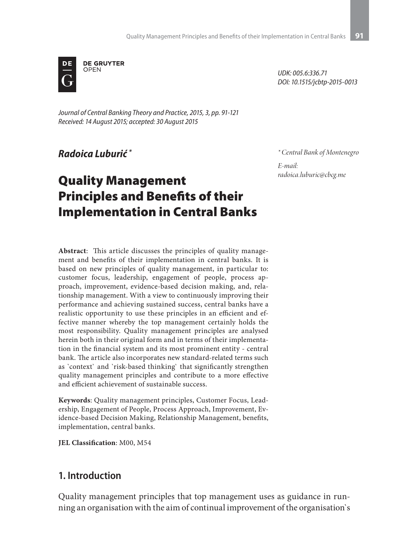

*Journal of Central Banking Theory and Practice, 2015, 3, pp. 91-121 Received: 14 August 2015; accepted: 30 August 2015*

*Radoica Luburić \**

# Quality Management Principles and Benefits of their Implementation in Central Banks

**Abstract**: This article discusses the principles of quality management and benefits of their implementation in central banks. It is based on new principles of quality management, in particular to: customer focus, leadership, engagement of people, process approach, improvement, evidence-based decision making, and, relationship management. With a view to continuously improving their performance and achieving sustained success, central banks have a realistic opportunity to use these principles in an efficient and effective manner whereby the top management certainly holds the most responsibility. Quality management principles are analysed herein both in their original form and in terms of their implementation in the financial system and its most prominent entity - central bank. The article also incorporates new standard-related terms such as `context` and `risk-based thinking` that significantly strengthen quality management principles and contribute to a more effective and efficient achievement of sustainable success.

**Keywords**: Quality management principles, Customer Focus, Leadership, Engagement of People, Process Approach, Improvement, Evidence-based Decision Making, Relationship Management, benefits, implementation, central banks.

**JEL Classification**: M00, M54

## **1. Introduction**

Quality management principles that top management uses as guidance in running an organisation with the aim of continual improvement of the organisation`s

*UDK: 005.6:336.71 DOI: 10.1515/jcbtp-2015-0013*

*\* Central Bank of Montenegro*

*E-mail: radoica.luburic@cbcg.me*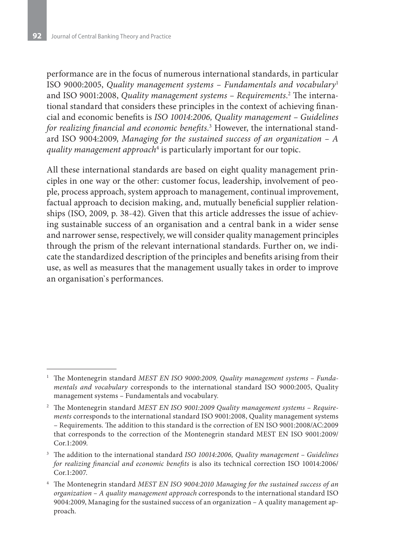performance are in the focus of numerous international standards, in particular ISO 9000:2005, *Quality management systems – Fundamentals and vocabulary*<sup>1</sup> and ISO 9001:2008, *Quality management systems – Requirements*. 2 The international standard that considers these principles in the context of achieving financial and economic benefits is *ISO 10014:2006, Quality management – Guidelines for realizing financial and economic benefits*. 3 However, the international standard ISO 9004:2009, *Managing for the sustained success of an organization – A quality management approach*<sup>4</sup> is particularly important for our topic.

All these international standards are based on eight quality management principles in one way or the other: customer focus, leadership, involvement of people, process approach, system approach to management, continual improvement, factual approach to decision making, and, mutually beneficial supplier relationships (ISO, 2009, p. 38-42). Given that this article addresses the issue of achieving sustainable success of an organisation and a central bank in a wider sense and narrower sense, respectively, we will consider quality management principles through the prism of the relevant international standards. Further on, we indicate the standardized description of the principles and benefits arising from their use, as well as measures that the management usually takes in order to improve an organisation`s performances.

<sup>&</sup>lt;sup>1</sup> The Montenegrin standard *MEST EN ISO 9000:2009, Quality management systems – Fundamentals and vocabulary* corresponds to the international standard ISO 9000:2005, Quality management systems – Fundamentals and vocabulary*.*

<sup>2</sup> The Montenegrin standard *MEST EN ISO 9001:2009 Quality management systems – Requirements* corresponds to the international standard ISO 9001:2008, Quality management systems – Requirements. The addition to this standard is the correction of EN ISO 9001:2008/AC:2009 that corresponds to the correction of the Montenegrin standard MEST EN ISO 9001:2009/ Cor.1:2009.

<sup>3</sup> The addition to the international standard *ISO 10014:2006, Quality management – Guidelines for realizing financial and economic benefits* is also its technical correction ISO 10014:2006/ Cor.1:2007.

<sup>4</sup> The Montenegrin standard *MEST EN ISO 9004:2010 Managing for the sustained success of an organization – A quality management approach* corresponds to the international standard ISO 9004:2009, Managing for the sustained success of an organization – A quality management approach*.*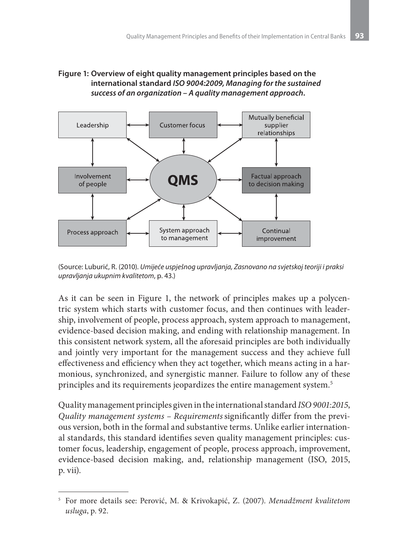#### **Figure 1: Overview of eight quality management principles based on the international standard** *ISO 9004:2009, Managing for the sustained success of an organization – A quality management approach***.**



(Source: Luburić, R. (2010). *Umijeće uspješnog upravljanja, Zasnovano na svjetskoj teoriji i praksi upravljanja ukupnim kvalitetom*, p. 43.)

As it can be seen in Figure 1, the network of principles makes up a polycentric system which starts with customer focus, and then continues with leadership, involvement of people, process approach, system approach to management, evidence-based decision making, and ending with relationship management. In this consistent network system, all the aforesaid principles are both individually and jointly very important for the management success and they achieve full effectiveness and efficiency when they act together, which means acting in a harmonious, synchronized, and synergistic manner. Failure to follow any of these principles and its requirements jeopardizes the entire management system.<sup>5</sup>

Quality management principles given in the international standard *ISO 9001:2015*, *Quality management systems – Requirements*significantly differ from the previous version, both in the formal and substantive terms. Unlike earlier international standards, this standard identifies seven quality management principles: customer focus, leadership, engagement of people, process approach, improvement, evidence-based decision making, and, relationship management (ISO, 2015, p. vii).

<sup>5</sup> For more details see: Perović, M. & Krivokapić, Z. (2007). *Menadžment kvalitetom usluga*, p. 92.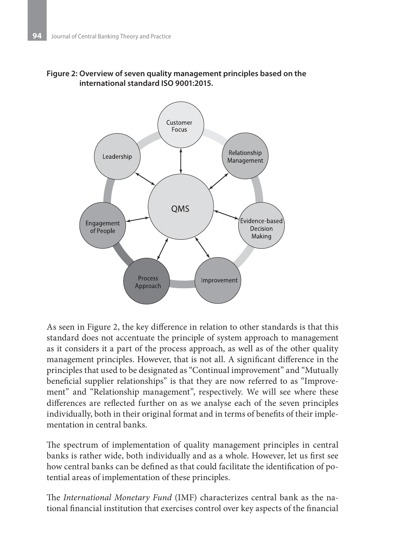

#### **Figure 2: Overview of seven quality management principles based on the international standard ISO 9001:2015.**

As seen in Figure 2, the key difference in relation to other standards is that this standard does not accentuate the principle of system approach to management as it considers it a part of the process approach, as well as of the other quality management principles. However, that is not all. A significant difference in the principles that used to be designated as "Continual improvement" and "Mutually beneficial supplier relationships" is that they are now referred to as "Improvement" and "Relationship management", respectively. We will see where these differences are reflected further on as we analyse each of the seven principles individually, both in their original format and in terms of benefits of their implementation in central banks.

The spectrum of implementation of quality management principles in central banks is rather wide, both individually and as a whole. However, let us first see how central banks can be defined as that could facilitate the identification of potential areas of implementation of these principles.

The *International Monetary Fund* (IMF) characterizes central bank as the national financial institution that exercises control over key aspects of the financial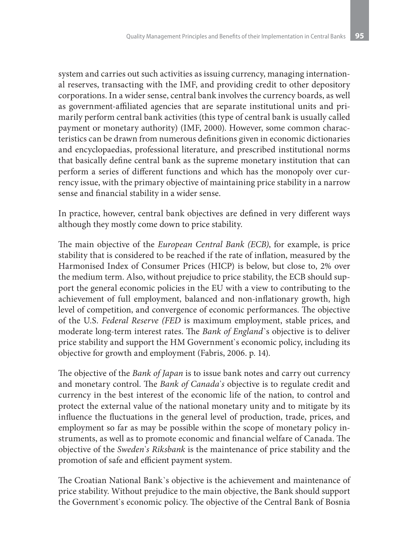system and carries out such activities as issuing currency, managing international reserves, transacting with the IMF, and providing credit to other depository corporations. In a wider sense, central bank involves the currency boards, as well as government-affiliated agencies that are separate institutional units and primarily perform central bank activities (this type of central bank is usually called payment or monetary authority) (IMF, 2000). However, some common characteristics can be drawn from numerous definitions given in economic dictionaries and encyclopaedias, professional literature, and prescribed institutional norms that basically define central bank as the supreme monetary institution that can perform a series of different functions and which has the monopoly over currency issue, with the primary objective of maintaining price stability in a narrow sense and financial stability in a wider sense.

In practice, however, central bank objectives are defined in very different ways although they mostly come down to price stability.

The main objective of the *European Central Bank (ECB)*, for example, is price stability that is considered to be reached if the rate of inflation, measured by the Harmonised Index of Consumer Prices (HICP) is below, but close to, 2% over the medium term. Also, without prejudice to price stability, the ECB should support the general economic policies in the EU with a view to contributing to the achievement of full employment, balanced and non-inflationary growth, high level of competition, and convergence of economic performances. The objective of the U.S. *Federal Reserve (FED* is maximum employment, stable prices, and moderate long-term interest rates. The *Bank of England*`s objective is to deliver price stability and support the HM Government`s economic policy, including its objective for growth and employment (Fabris, 2006. p. 14).

The objective of the *Bank of Japan* is to issue bank notes and carry out currency and monetary control. The *Bank of Canada`s* objective is to regulate credit and currency in the best interest of the economic life of the nation, to control and protect the external value of the national monetary unity and to mitigate by its influence the fluctuations in the general level of production, trade, prices, and employment so far as may be possible within the scope of monetary policy instruments, as well as to promote economic and financial welfare of Canada. The objective of the *Sweden`s Riksbank* is the maintenance of price stability and the promotion of safe and efficient payment system.

The Croatian National Bank`s objective is the achievement and maintenance of price stability. Without prejudice to the main objective, the Bank should support the Government`s economic policy. The objective of the Central Bank of Bosnia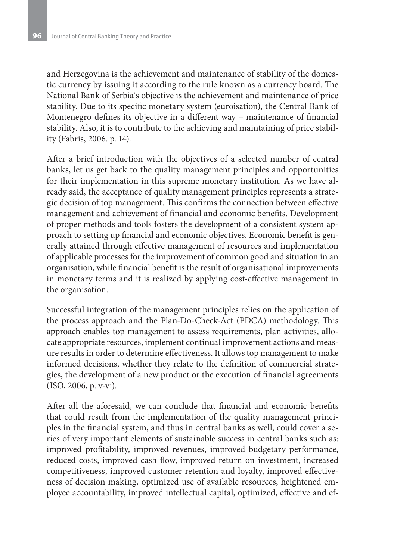and Herzegovina is the achievement and maintenance of stability of the domestic currency by issuing it according to the rule known as a currency board. The National Bank of Serbia`s objective is the achievement and maintenance of price stability. Due to its specific monetary system (euroisation), the Central Bank of Montenegro defines its objective in a different way – maintenance of financial stability. Also, it is to contribute to the achieving and maintaining of price stability (Fabris, 2006. p. 14).

After a brief introduction with the objectives of a selected number of central banks, let us get back to the quality management principles and opportunities for their implementation in this supreme monetary institution. As we have already said, the acceptance of quality management principles represents a strategic decision of top management. This confirms the connection between effective management and achievement of financial and economic benefits. Development of proper methods and tools fosters the development of a consistent system approach to setting up financial and economic objectives. Economic benefit is generally attained through effective management of resources and implementation of applicable processes for the improvement of common good and situation in an organisation, while financial benefit is the result of organisational improvements in monetary terms and it is realized by applying cost-effective management in the organisation.

Successful integration of the management principles relies on the application of the process approach and the Plan-Do-Check-Act (PDCA) methodology. This approach enables top management to assess requirements, plan activities, allocate appropriate resources, implement continual improvement actions and measure results in order to determine effectiveness. It allows top management to make informed decisions, whether they relate to the definition of commercial strategies, the development of a new product or the execution of financial agreements (ISO, 2006, p. v-vi).

After all the aforesaid, we can conclude that financial and economic benefits that could result from the implementation of the quality management principles in the financial system, and thus in central banks as well, could cover a series of very important elements of sustainable success in central banks such as: improved profitability, improved revenues, improved budgetary performance, reduced costs, improved cash flow, improved return on investment, increased competitiveness, improved customer retention and loyalty, improved effectiveness of decision making, optimized use of available resources, heightened employee accountability, improved intellectual capital, optimized, effective and ef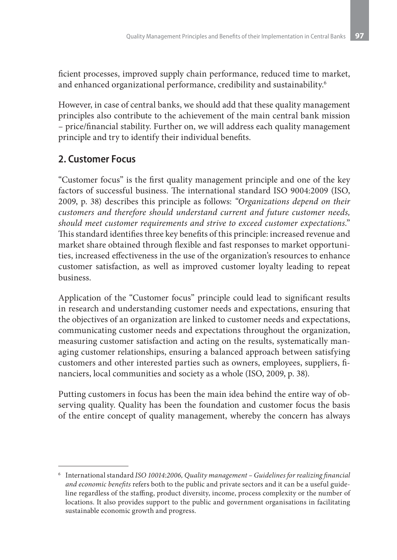ficient processes, improved supply chain performance, reduced time to market, and enhanced organizational performance, credibility and sustainability.<sup>6</sup>

However, in case of central banks, we should add that these quality management principles also contribute to the achievement of the main central bank mission – price/financial stability. Further on, we will address each quality management principle and try to identify their individual benefits.

# **2. Customer Focus**

"Customer focus" is the first quality management principle and one of the key factors of successful business. The international standard ISO 9004:2009 (ISO, 2009, p. 38) describes this principle as follows: *"Organizations depend on their customers and therefore should understand current and future customer needs, should meet customer requirements and strive to exceed customer expectations*." This standard identifies three key benefits of this principle: increased revenue and market share obtained through flexible and fast responses to market opportunities, increased effectiveness in the use of the organization's resources to enhance customer satisfaction, as well as improved customer loyalty leading to repeat business.

Application of the "Customer focus" principle could lead to significant results in research and understanding customer needs and expectations, ensuring that the objectives of an organization are linked to customer needs and expectations, communicating customer needs and expectations throughout the organization, measuring customer satisfaction and acting on the results, systematically managing customer relationships, ensuring a balanced approach between satisfying customers and other interested parties such as owners, employees, suppliers, financiers, local communities and society as a whole (ISO, 2009, p. 38).

Putting customers in focus has been the main idea behind the entire way of observing quality. Quality has been the foundation and customer focus the basis of the entire concept of quality management, whereby the concern has always

<sup>6</sup> International standard *ISO 10014:2006, Quality management – Guidelines for realizing financial and economic benefits* refers both to the public and private sectors and it can be a useful guideline regardless of the staffing, product diversity, income, process complexity or the number of locations. It also provides support to the public and government organisations in facilitating sustainable economic growth and progress.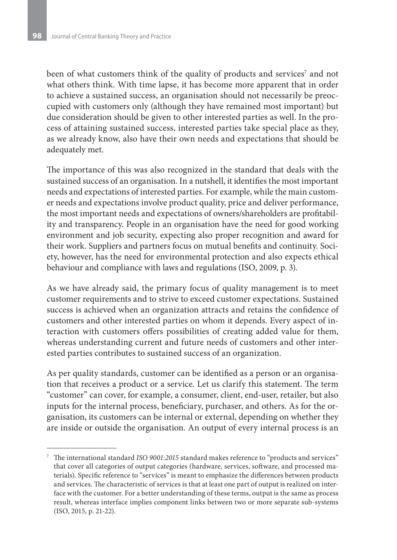been of what customers think of the quality of products and services<sup>7</sup> and not what others think. With time lapse, it has become more apparent that in order to achieve a sustained success, an organisation should not necessarily be preoccupied with customers only (although they have remained most important) but due consideration should be given to other interested parties as well. In the process of attaining sustained success, interested parties take special place as they, as we already know, also have their own needs and expectations that should be adequately met.

The importance of this was also recognized in the standard that deals with the sustained success of an organisation. In a nutshell, it identifies the most important needs and expectations of interested parties. For example, while the main customer needs and expectations involve product quality, price and deliver performance, the most important needs and expectations of owners/shareholders are profitability and transparency. People in an organisation have the need for good working environment and job security, expecting also proper recognition and award for their work. Suppliers and partners focus on mutual benefits and continuity. Society, however, has the need for environmental protection and also expects ethical behaviour and compliance with laws and regulations (ISO, 2009, p. 3).

As we have already said, the primary focus of quality management is to meet customer requirements and to strive to exceed customer expectations. Sustained success is achieved when an organization attracts and retains the confidence of customers and other interested parties on whom it depends. Every aspect of interaction with customers offers possibilities of creating added value for them, whereas understanding current and future needs of customers and other interested parties contributes to sustained success of an organization.

As per quality standards, customer can be identified as a person or an organisation that receives a product or a service. Let us clarify this statement. The term "customer" can cover, for example, a consumer, client, end-user, retailer, but also inputs for the internal process, beneficiary, purchaser, and others. As for the organisation, its customers can be internal or external, depending on whether they are inside or outside the organisation. An output of every internal process is an

<sup>7</sup> The international standard *ISO 9001:2015* standard makes reference to "products and services" that cover all categories of output categories (hardware, services, software, and processed materials). Specific reference to "services" is meant to emphasize the differences between products and services. The characteristic of services is that at least one part of output is realized on interface with the customer. For a better understanding of these terms, output is the same as process result, whereas interface implies component links between two or more separate sub-systems (ISO, 2015, p. 21-22).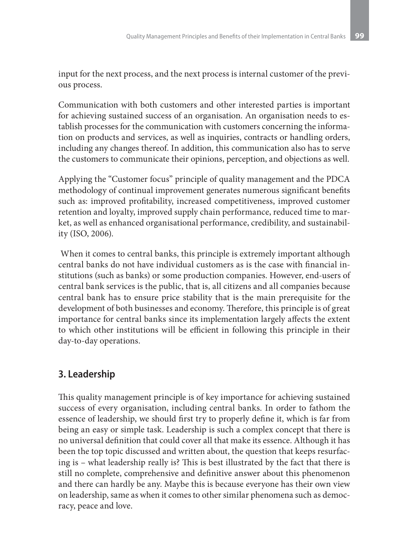input for the next process, and the next process is internal customer of the previous process.

Communication with both customers and other interested parties is important for achieving sustained success of an organisation. An organisation needs to establish processes for the communication with customers concerning the information on products and services, as well as inquiries, contracts or handling orders, including any changes thereof. In addition, this communication also has to serve the customers to communicate their opinions, perception, and objections as well.

Applying the "Customer focus" principle of quality management and the PDCA methodology of continual improvement generates numerous significant benefits such as: improved profitability, increased competitiveness, improved customer retention and loyalty, improved supply chain performance, reduced time to market, as well as enhanced organisational performance, credibility, and sustainability (ISO, 2006).

 When it comes to central banks, this principle is extremely important although central banks do not have individual customers as is the case with financial institutions (such as banks) or some production companies. However, end-users of central bank services is the public, that is, all citizens and all companies because central bank has to ensure price stability that is the main prerequisite for the development of both businesses and economy. Therefore, this principle is of great importance for central banks since its implementation largely affects the extent to which other institutions will be efficient in following this principle in their day-to-day operations.

# **3. Leadership**

This quality management principle is of key importance for achieving sustained success of every organisation, including central banks. In order to fathom the essence of leadership, we should first try to properly define it, which is far from being an easy or simple task. Leadership is such a complex concept that there is no universal definition that could cover all that make its essence. Although it has been the top topic discussed and written about, the question that keeps resurfacing is – what leadership really is? This is best illustrated by the fact that there is still no complete, comprehensive and definitive answer about this phenomenon and there can hardly be any. Maybe this is because everyone has their own view on leadership, same as when it comes to other similar phenomena such as democracy, peace and love.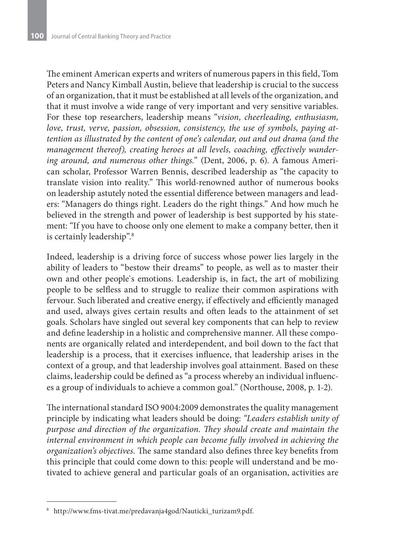The eminent American experts and writers of numerous papers in this field, Tom Peters and Nancy Kimball Austin, believe that leadership is crucial to the success of an organization, that it must be established at all levels of the organization, and that it must involve a wide range of very important and very sensitive variables. For these top researchers, leadership means "*vision, cheerleading, enthusiasm, love, trust, verve, passion, obsession, consistency, the use of symbols, paying attention as illustrated by the content of one's calendar, out and out drama (and the management thereof), creating heroes at all levels, coaching, effectively wandering around, and numerous other things.*" (Dent, 2006, p. 6). A famous American scholar, Professor Warren Bennis, described leadership as "the capacity to translate vision into reality." This world-renowned author of numerous books on leadership astutely noted the essential difference between managers and leaders: "Managers do things right. Leaders do the right things." And how much he believed in the strength and power of leadership is best supported by his statement: "If you have to choose only one element to make a company better, then it is certainly leadership".8

Indeed, leadership is a driving force of success whose power lies largely in the ability of leaders to "bestow their dreams" to people, as well as to master their own and other people`s emotions. Leadership is, in fact, the art of mobilizing people to be selfless and to struggle to realize their common aspirations with fervour. Such liberated and creative energy, if effectively and efficiently managed and used, always gives certain results and often leads to the attainment of set goals. Scholars have singled out several key components that can help to review and define leadership in a holistic and comprehensive manner. All these components are organically related and interdependent, and boil down to the fact that leadership is a process, that it exercises influence, that leadership arises in the context of a group, and that leadership involves goal attainment. Based on these claims, leadership could be defined as "a process whereby an individual influences a group of individuals to achieve a common goal." (Northouse, 2008, p. 1-2).

The international standard ISO 9004:2009 demonstrates the quality management principle by indicating what leaders should be doing: *"Leaders establish unity of purpose and direction of the organization. They should create and maintain the internal environment in which people can become fully involved in achieving the organization's objectives.* The same standard also defines three key benefits from this principle that could come down to this: people will understand and be motivated to achieve general and particular goals of an organisation, activities are

<sup>8</sup> http://www.fms-tivat.me/predavanja4god/Nauticki\_turizam9.pdf.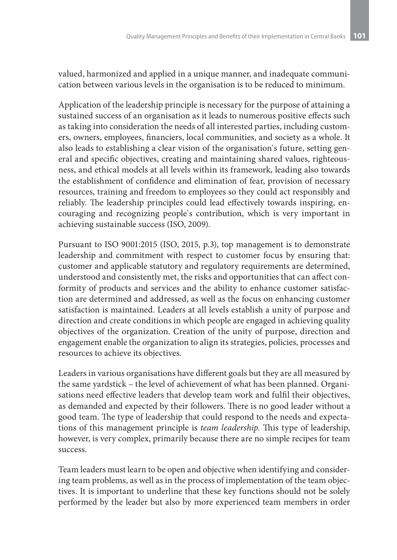valued, harmonized and applied in a unique manner, and inadequate communication between various levels in the organisation is to be reduced to minimum.

Application of the leadership principle is necessary for the purpose of attaining a sustained success of an organisation as it leads to numerous positive effects such as taking into consideration the needs of all interested parties, including customers, owners, employees, financiers, local communities, and society as a whole. It also leads to establishing a clear vision of the organisation`s future, setting general and specific objectives, creating and maintaining shared values, righteousness, and ethical models at all levels within its framework, leading also towards the establishment of confidence and elimination of fear, provision of necessary resources, training and freedom to employees so they could act responsibly and reliably. The leadership principles could lead effectively towards inspiring, encouraging and recognizing people`s contribution, which is very important in achieving sustainable success (ISO, 2009).

Pursuant to ISO 9001:2015 (ISO, 2015, p.3), top management is to demonstrate leadership and commitment with respect to customer focus by ensuring that: customer and applicable statutory and regulatory requirements are determined, understood and consistently met, the risks and opportunities that can affect conformity of products and services and the ability to enhance customer satisfaction are determined and addressed, as well as the focus on enhancing customer satisfaction is maintained. Leaders at all levels establish a unity of purpose and direction and create conditions in which people are engaged in achieving quality objectives of the organization. Creation of the unity of purpose, direction and engagement enable the organization to align its strategies, policies, processes and resources to achieve its objectives.

Leaders in various organisations have different goals but they are all measured by the same yardstick – the level of achievement of what has been planned. Organisations need effective leaders that develop team work and fulfil their objectives, as demanded and expected by their followers. There is no good leader without a good team. The type of leadership that could respond to the needs and expectations of this management principle is *team leadership.* This type of leadership, however, is very complex, primarily because there are no simple recipes for team success.

Team leaders must learn to be open and objective when identifying and considering team problems, as well as in the process of implementation of the team objectives. It is important to underline that these key functions should not be solely performed by the leader but also by more experienced team members in order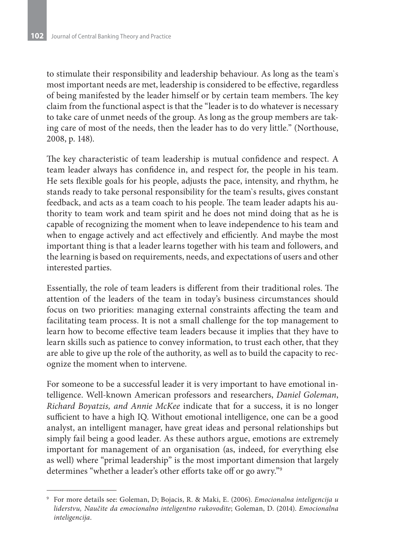to stimulate their responsibility and leadership behaviour. As long as the team`s most important needs are met, leadership is considered to be effective, regardless of being manifested by the leader himself or by certain team members. The key claim from the functional aspect is that the "leader is to do whatever is necessary to take care of unmet needs of the group. As long as the group members are taking care of most of the needs, then the leader has to do very little." (Northouse, 2008, p. 148).

The key characteristic of team leadership is mutual confidence and respect. A team leader always has confidence in, and respect for, the people in his team. He sets flexible goals for his people, adjusts the pace, intensity, and rhythm, he stands ready to take personal responsibility for the team`s results, gives constant feedback, and acts as a team coach to his people. The team leader adapts his authority to team work and team spirit and he does not mind doing that as he is capable of recognizing the moment when to leave independence to his team and when to engage actively and act effectively and efficiently. And maybe the most important thing is that a leader learns together with his team and followers, and the learning is based on requirements, needs, and expectations of users and other interested parties.

Essentially, the role of team leaders is different from their traditional roles. The attention of the leaders of the team in today's business circumstances should focus on two priorities: managing external constraints affecting the team and facilitating team process. It is not a small challenge for the top management to learn how to become effective team leaders because it implies that they have to learn skills such as patience to convey information, to trust each other, that they are able to give up the role of the authority, as well as to build the capacity to recognize the moment when to intervene.

For someone to be a successful leader it is very important to have emotional intelligence. Well-known American professors and researchers, *Daniel Goleman*, *Richard Boyatzis, and Annie McKee* indicate that for a success, it is no longer sufficient to have a high IQ. Without emotional intelligence, one can be a good analyst, an intelligent manager, have great ideas and personal relationships but simply fail being a good leader. As these authors argue, emotions are extremely important for management of an organisation (as, indeed, for everything else as well) where "primal leadership" is the most important dimension that largely determines "whether a leader's other efforts take off or go awry."9

<sup>9</sup> For more details see: Goleman, D; Bojacis, R. & Maki, E. (2006). *Emocionalna inteligencija u liderstvu, Naučite da emocionalno inteligentno rukovodite*; Goleman, D. (2014). *Emocionalna inteligencija*.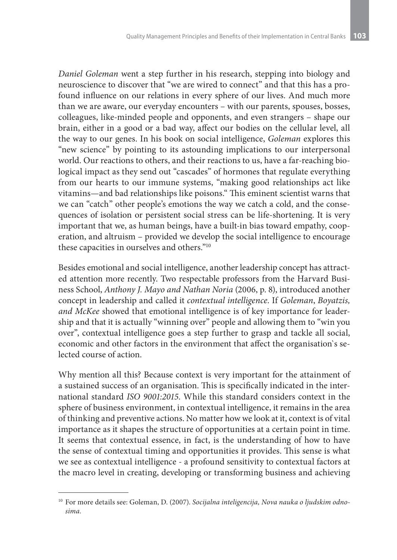*Daniel Goleman* went a step further in his research, stepping into biology and neuroscience to discover that "we are wired to connect" and that this has a profound influence on our relations in every sphere of our lives. And much more than we are aware, our everyday encounters – with our parents, spouses, bosses, colleagues, like-minded people and opponents, and even strangers – shape our brain, either in a good or a bad way, affect our bodies on the cellular level, all the way to our genes. In his book on social intelligence, *Goleman* explores this "new science" by pointing to its astounding implications to our interpersonal world. Our reactions to others, and their reactions to us, have a far-reaching biological impact as they send out "cascades" of hormones that regulate everything from our hearts to our immune systems, "making good relationships act like vitamins—and bad relationships like poisons." This eminent scientist warns that we can "catch" other people's emotions the way we catch a cold, and the consequences of isolation or persistent social stress can be life-shortening. It is very important that we, as human beings, have a built-in bias toward empathy, cooperation, and altruism – provided we develop the social intelligence to encourage these capacities in ourselves and others."10

Besides emotional and social intelligence, another leadership concept has attracted attention more recently. Two respectable professors from the Harvard Business School, *Anthony J. Mayo and Nathan Noria* (2006, p. 8), introduced another concept in leadership and called it *contextual intelligence*. If *Goleman*, *Boyatzis, and McKee* showed that emotional intelligence is of key importance for leadership and that it is actually "winning over" people and allowing them to "win you over", contextual intelligence goes a step further to grasp and tackle all social, economic and other factors in the environment that affect the organisation`s selected course of action.

Why mention all this? Because context is very important for the attainment of a sustained success of an organisation. This is specifically indicated in the international standard *ISO 9001:2015*. While this standard considers context in the sphere of business environment, in contextual intelligence, it remains in the area of thinking and preventive actions. No matter how we look at it, context is of vital importance as it shapes the structure of opportunities at a certain point in time. It seems that contextual essence, in fact, is the understanding of how to have the sense of contextual timing and opportunities it provides. This sense is what we see as contextual intelligence - a profound sensitivity to contextual factors at the macro level in creating, developing or transforming business and achieving

<sup>10</sup> For more details see: Goleman, D. (2007). *Socijalna inteligencija, Nova nauka o ljudskim odnosima.*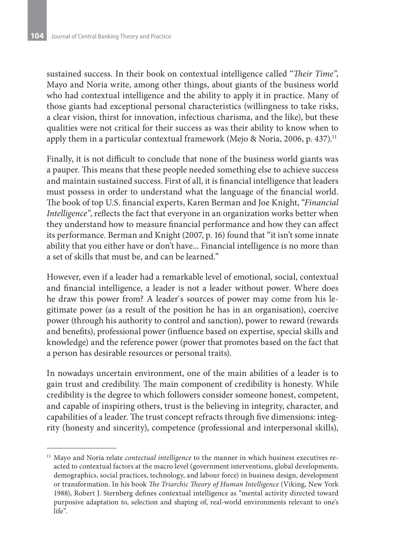sustained success. In their book on contextual intelligence called "*Their Time"*, Mayo and Noria write, among other things, about giants of the business world who had contextual intelligence and the ability to apply it in practice. Many of those giants had exceptional personal characteristics (willingness to take risks, a clear vision, thirst for innovation, infectious charisma, and the like), but these qualities were not critical for their success as was their ability to know when to apply them in a particular contextual framework (Mejo & Noria, 2006, p. 437).<sup>11</sup>

Finally, it is not difficult to conclude that none of the business world giants was a pauper. This means that these people needed something else to achieve success and maintain sustained success. First of all, it is financial intelligence that leaders must possess in order to understand what the language of the financial world. The book of top U.S. financial experts, Karen Berman and Joe Knight, "*Financial Intelligence"*, reflects the fact that everyone in an organization works better when they understand how to measure financial performance and how they can affect its performance. Berman and Knight (2007, p. 16) found that "it isn't some innate ability that you either have or don't have... Financial intelligence is no more than a set of skills that must be, and can be learned."

However, even if a leader had a remarkable level of emotional, social, contextual and financial intelligence, a leader is not a leader without power. Where does he draw this power from? A leader`s sources of power may come from his legitimate power (as a result of the position he has in an organisation), coercive power (through his authority to control and sanction), power to reward (rewards and benefits), professional power (influence based on expertise, special skills and knowledge) and the reference power (power that promotes based on the fact that a person has desirable resources or personal traits).

In nowadays uncertain environment, one of the main abilities of a leader is to gain trust and credibility. The main component of credibility is honesty. While credibility is the degree to which followers consider someone honest, competent, and capable of inspiring others, trust is the believing in integrity, character, and capabilities of a leader. The trust concept refracts through five dimensions: integrity (honesty and sincerity), competence (professional and interpersonal skills),

<sup>&</sup>lt;sup>11</sup> Mayo and Noria relate *contectual intelligence* to the manner in which business executives reacted to contextual factors at the macro level (government interventions, global developments, demographics, social practices, technology, and labour force) in business design, development or transformation. In his book *The Triarchic Theory of Human Intelligence* (Viking, New York 1988), Robert J. Sternberg defines contextual intelligence as "mental activity directed toward purposive adaptation to, selection and shaping of, real-world environments relevant to one's life".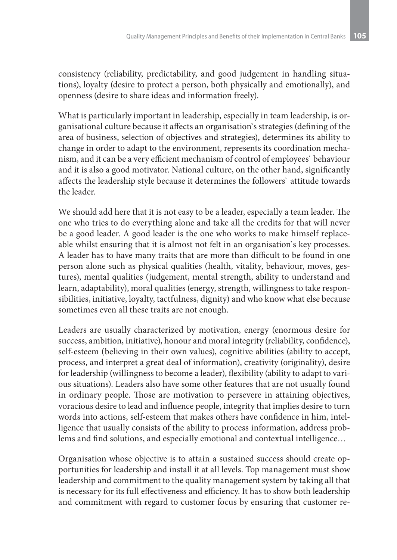consistency (reliability, predictability, and good judgement in handling situations), loyalty (desire to protect a person, both physically and emotionally), and openness (desire to share ideas and information freely).

What is particularly important in leadership, especially in team leadership, is organisational culture because it affects an organisation`s strategies (defining of the area of business, selection of objectives and strategies), determines its ability to change in order to adapt to the environment, represents its coordination mechanism, and it can be a very efficient mechanism of control of employees` behaviour and it is also a good motivator. National culture, on the other hand, significantly affects the leadership style because it determines the followers` attitude towards the leader.

We should add here that it is not easy to be a leader, especially a team leader. The one who tries to do everything alone and take all the credits for that will never be a good leader. A good leader is the one who works to make himself replaceable whilst ensuring that it is almost not felt in an organisation`s key processes. A leader has to have many traits that are more than difficult to be found in one person alone such as physical qualities (health, vitality, behaviour, moves, gestures), mental qualities (judgement, mental strength, ability to understand and learn, adaptability), moral qualities (energy, strength, willingness to take responsibilities, initiative, loyalty, tactfulness, dignity) and who know what else because sometimes even all these traits are not enough.

Leaders are usually characterized by motivation, energy (enormous desire for success, ambition, initiative), honour and moral integrity (reliability, confidence), self-esteem (believing in their own values), cognitive abilities (ability to accept, process, and interpret a great deal of information), creativity (originality), desire for leadership (willingness to become a leader), flexibility (ability to adapt to various situations). Leaders also have some other features that are not usually found in ordinary people. Those are motivation to persevere in attaining objectives, voracious desire to lead and influence people, integrity that implies desire to turn words into actions, self-esteem that makes others have confidence in him, intelligence that usually consists of the ability to process information, address problems and find solutions, and especially emotional and contextual intelligence…

Organisation whose objective is to attain a sustained success should create opportunities for leadership and install it at all levels. Top management must show leadership and commitment to the quality management system by taking all that is necessary for its full effectiveness and efficiency. It has to show both leadership and commitment with regard to customer focus by ensuring that customer re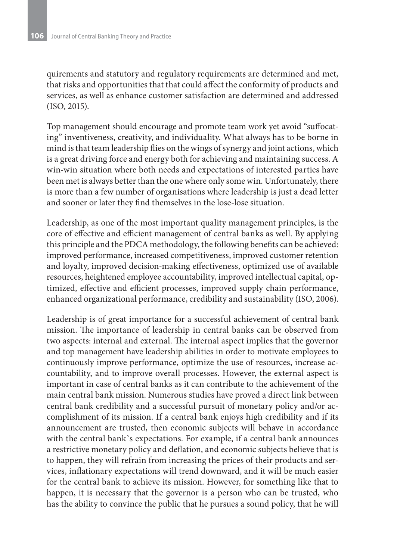quirements and statutory and regulatory requirements are determined and met, that risks and opportunities that that could affect the conformity of products and services, as well as enhance customer satisfaction are determined and addressed (ISO, 2015).

Top management should encourage and promote team work yet avoid "suffocating" inventiveness, creativity, and individuality. What always has to be borne in mind is that team leadership flies on the wings of synergy and joint actions, which is a great driving force and energy both for achieving and maintaining success. A win-win situation where both needs and expectations of interested parties have been met is always better than the one where only some win. Unfortunately, there is more than a few number of organisations where leadership is just a dead letter and sooner or later they find themselves in the lose-lose situation.

Leadership, as one of the most important quality management principles, is the core of effective and efficient management of central banks as well. By applying this principle and the PDCA methodology, the following benefits can be achieved: improved performance, increased competitiveness, improved customer retention and loyalty, improved decision-making effectiveness, optimized use of available resources, heightened employee accountability, improved intellectual capital, optimized, effective and efficient processes, improved supply chain performance, enhanced organizational performance, credibility and sustainability (ISO, 2006).

Leadership is of great importance for a successful achievement of central bank mission. The importance of leadership in central banks can be observed from two aspects: internal and external. The internal aspect implies that the governor and top management have leadership abilities in order to motivate employees to continuously improve performance, optimize the use of resources, increase accountability, and to improve overall processes. However, the external aspect is important in case of central banks as it can contribute to the achievement of the main central bank mission. Numerous studies have proved a direct link between central bank credibility and a successful pursuit of monetary policy and/or accomplishment of its mission. If a central bank enjoys high credibility and if its announcement are trusted, then economic subjects will behave in accordance with the central bank`s expectations. For example, if a central bank announces a restrictive monetary policy and deflation, and economic subjects believe that is to happen, they will refrain from increasing the prices of their products and services, inflationary expectations will trend downward, and it will be much easier for the central bank to achieve its mission. However, for something like that to happen, it is necessary that the governor is a person who can be trusted, who has the ability to convince the public that he pursues a sound policy, that he will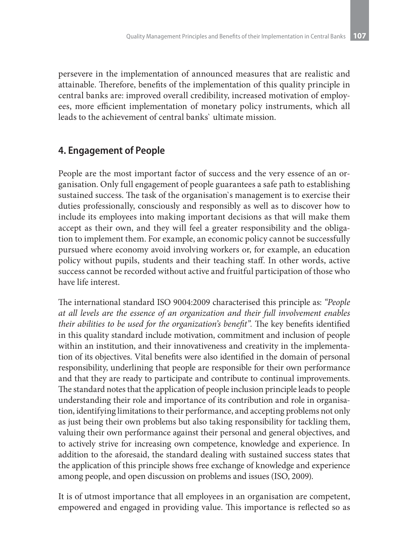persevere in the implementation of announced measures that are realistic and attainable. Therefore, benefits of the implementation of this quality principle in central banks are: improved overall credibility, increased motivation of employees, more efficient implementation of monetary policy instruments, which all leads to the achievement of central banks` ultimate mission.

# **4. Engagement of People**

People are the most important factor of success and the very essence of an organisation. Only full engagement of people guarantees a safe path to establishing sustained success. The task of the organisation`s management is to exercise their duties professionally, consciously and responsibly as well as to discover how to include its employees into making important decisions as that will make them accept as their own, and they will feel a greater responsibility and the obligation to implement them. For example, an economic policy cannot be successfully pursued where economy avoid involving workers or, for example, an education policy without pupils, students and their teaching staff. In other words, active success cannot be recorded without active and fruitful participation of those who have life interest.

The international standard ISO 9004:2009 characterised this principle as: *"People at all levels are the essence of an organization and their full involvement enables their abilities to be used for the organization's benefit".* The key benefits identified in this quality standard include motivation, commitment and inclusion of people within an institution, and their innovativeness and creativity in the implementation of its objectives. Vital benefits were also identified in the domain of personal responsibility, underlining that people are responsible for their own performance and that they are ready to participate and contribute to continual improvements. The standard notes that the application of people inclusion principle leads to people understanding their role and importance of its contribution and role in organisation, identifying limitations to their performance, and accepting problems not only as just being their own problems but also taking responsibility for tackling them, valuing their own performance against their personal and general objectives, and to actively strive for increasing own competence, knowledge and experience. In addition to the aforesaid, the standard dealing with sustained success states that the application of this principle shows free exchange of knowledge and experience among people, and open discussion on problems and issues (ISO, 2009).

It is of utmost importance that all employees in an organisation are competent, empowered and engaged in providing value. This importance is reflected so as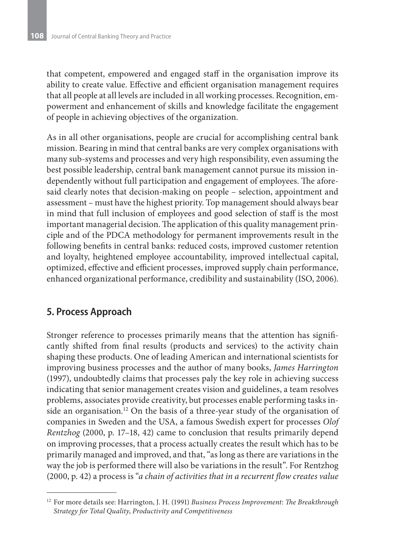that competent, empowered and engaged staff in the organisation improve its ability to create value. Effective and efficient organisation management requires that all people at all levels are included in all working processes. Recognition, empowerment and enhancement of skills and knowledge facilitate the engagement of people in achieving objectives of the organization.

As in all other organisations, people are crucial for accomplishing central bank mission. Bearing in mind that central banks are very complex organisations with many sub-systems and processes and very high responsibility, even assuming the best possible leadership, central bank management cannot pursue its mission independently without full participation and engagement of employees. The aforesaid clearly notes that decision-making on people – selection, appointment and assessment – must have the highest priority. Top management should always bear in mind that full inclusion of employees and good selection of staff is the most important managerial decision. The application of this quality management principle and of the PDCA methodology for permanent improvements result in the following benefits in central banks: reduced costs, improved customer retention and loyalty, heightened employee accountability, improved intellectual capital, optimized, effective and efficient processes, improved supply chain performance, enhanced organizational performance, credibility and sustainability (ISO, 2006).

# **5. Process Approach**

Stronger reference to processes primarily means that the attention has significantly shifted from final results (products and services) to the activity chain shaping these products. One of leading American and international scientists for improving business processes and the author of many books, *James Harrington*  (1997), undoubtedly claims that processes paly the key role in achieving success indicating that senior management creates vision and guidelines, a team resolves problems, associates provide creativity, but processes enable performing tasks inside an organisation*.* <sup>12</sup> On the basis of a three-year study of the organisation of companies in Sweden and the USA, a famous Swedish expert for processes *Olof Rentzhog* (2000, p. 17–18, 42) came to conclusion that results primarily depend on improving processes, that a process actually creates the result which has to be primarily managed and improved, and that, "as long as there are variations in the way the job is performed there will also be variations in the result". For Rentzhog (2000, p. 42) a process is "*a chain of activities that in a recurrent flow creates value* 

<sup>12</sup> For more details see: Harrington, J. H. (1991) *Business Process Improvement*: *The Breakthrough Strategy for Total Quality*, *Productivity and Competitiveness*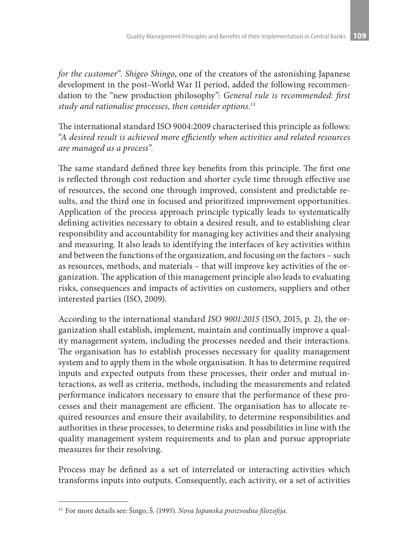*for the customer*". *Shigeo Shingo*, one of the creators of the astonishing Japanese development in the post–World War II period, added the following recommendation to the "new production philosophy": *General rule is recommended: first study and rationalise processes, then consider options.13*

The international standard ISO 9004:2009 characterised this principle as follows: "*A desired result is achieved more efficiently when activities and related resources are managed as a process".* 

The same standard defined three key benefits from this principle. The first one is reflected through cost reduction and shorter cycle time through effective use of resources, the second one through improved, consistent and predictable results, and the third one in focused and prioritized improvement opportunities. Application of the process approach principle typically leads to systematically defining activities necessary to obtain a desired result, and to establishing clear responsibility and accountability for managing key activities and their analysing and measuring. It also leads to identifying the interfaces of key activities within and between the functions of the organization, and focusing on the factors – such as resources, methods, and materials – that will improve key activities of the organization. The application of this management principle also leads to evaluating risks, consequences and impacts of activities on customers, suppliers and other interested parties (ISO, 2009).

According to the international standard *ISO 9001:2015* (ISO, 2015, p. 2), the organization shall establish, implement, maintain and continually improve a quality management system, including the processes needed and their interactions. The organisation has to establish processes necessary for quality management system and to apply them in the whole organisation. It has to determine required inputs and expected outputs from these processes, their order and mutual interactions, as well as criteria, methods, including the measurements and related performance indicators necessary to ensure that the performance of these processes and their management are efficient. The organisation has to allocate required resources and ensure their availability, to determine responsibilities and authorities in these processes, to determine risks and possibilities in line with the quality management system requirements and to plan and pursue appropriate measures for their resolving.

Process may be defined as a set of interrelated or interacting activities which transforms inputs into outputs. Consequently, each activity, or a set of activities

<sup>13</sup> For more details see: Šingo, Š. (1995). *Nova Japanska proizvodna filozofija*.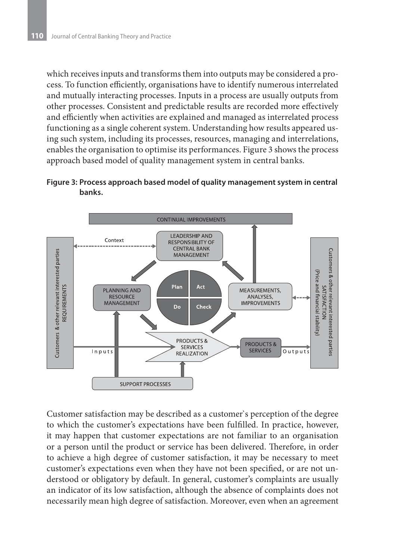which receives inputs and transforms them into outputs may be considered a process. To function efficiently, organisations have to identify numerous interrelated and mutually interacting processes. Inputs in a process are usually outputs from other processes. Consistent and predictable results are recorded more effectively and efficiently when activities are explained and managed as interrelated process functioning as a single coherent system. Understanding how results appeared using such system, including its processes, resources, managing and interrelations, enables the organisation to optimise its performances. Figure 3 shows the process approach based model of quality management system in central banks.





Customer satisfaction may be described as a customer`s perception of the degree to which the customer's expectations have been fulfilled. In practice, however, it may happen that customer expectations are not familiar to an organisation or a person until the product or service has been delivered. Therefore, in order to achieve a high degree of customer satisfaction, it may be necessary to meet customer's expectations even when they have not been specified, or are not understood or obligatory by default. In general, customer's complaints are usually an indicator of its low satisfaction, although the absence of complaints does not necessarily mean high degree of satisfaction. Moreover, even when an agreement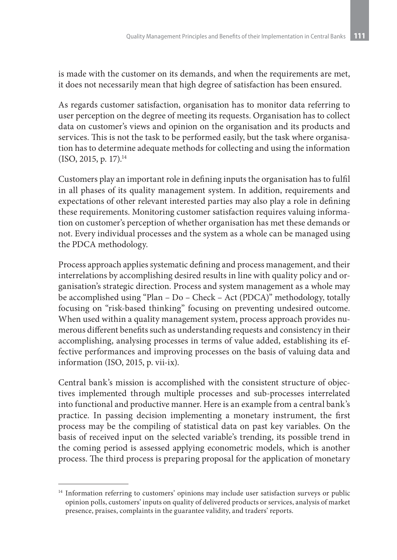is made with the customer on its demands, and when the requirements are met, it does not necessarily mean that high degree of satisfaction has been ensured.

As regards customer satisfaction, organisation has to monitor data referring to user perception on the degree of meeting its requests. Organisation has to collect data on customer's views and opinion on the organisation and its products and services. This is not the task to be performed easily, but the task where organisation has to determine adequate methods for collecting and using the information (ISO, 2015, p. 17).14

Customers play an important role in defining inputs the organisation has to fulfil in all phases of its quality management system. In addition, requirements and expectations of other relevant interested parties may also play a role in defining these requirements. Monitoring customer satisfaction requires valuing information on customer's perception of whether organisation has met these demands or not. Every individual processes and the system as a whole can be managed using the PDCA methodology.

Process approach applies systematic defining and process management, and their interrelations by accomplishing desired results in line with quality policy and organisation's strategic direction. Process and system management as a whole may be accomplished using "Plan – Do – Check – Act (PDCA)" methodology, totally focusing on "risk-based thinking" focusing on preventing undesired outcome. When used within a quality management system, process approach provides numerous different benefits such as understanding requests and consistency in their accomplishing, analysing processes in terms of value added, establishing its effective performances and improving processes on the basis of valuing data and information (ISO, 2015, p. vii-ix).

Central bank's mission is accomplished with the consistent structure of objectives implemented through multiple processes and sub-processes interrelated into functional and productive manner. Here is an example from a central bank's practice. In passing decision implementing a monetary instrument, the first process may be the compiling of statistical data on past key variables. On the basis of received input on the selected variable's trending, its possible trend in the coming period is assessed applying econometric models, which is another process. The third process is preparing proposal for the application of monetary

<sup>&</sup>lt;sup>14</sup> Information referring to customers' opinions may include user satisfaction surveys or public opinion polls, customers' inputs on quality of delivered products or services, analysis of market presence, praises, complaints in the guarantee validity, and traders' reports.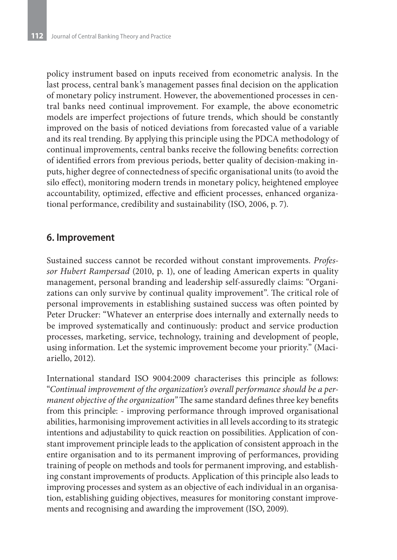policy instrument based on inputs received from econometric analysis. In the last process, central bank's management passes final decision on the application of monetary policy instrument. However, the abovementioned processes in central banks need continual improvement. For example, the above econometric models are imperfect projections of future trends, which should be constantly improved on the basis of noticed deviations from forecasted value of a variable and its real trending. By applying this principle using the PDCA methodology of continual improvements, central banks receive the following benefits: correction of identified errors from previous periods, better quality of decision-making inputs, higher degree of connectedness of specific organisational units (to avoid the silo effect), monitoring modern trends in monetary policy, heightened employee accountability, optimized, effective and efficient processes, enhanced organizational performance, credibility and sustainability (ISO, 2006, p. 7).

### **6. Improvement**

Sustained success cannot be recorded without constant improvements. *Professor Hubert Rampersad* (2010, p. 1), one of leading American experts in quality management, personal branding and leadership self-assuredly claims: "Organizations can only survive by continual quality improvement". The critical role of personal improvements in establishing sustained success was often pointed by Peter Drucker: "Whatever an enterprise does internally and externally needs to be improved systematically and continuously: product and service production processes, marketing, service, technology, training and development of people, using information. Let the systemic improvement become your priority." (Maciariello, 2012).

International standard ISO 9004:2009 characterises this principle as follows: "*Continual improvement of the organization's overall performance should be a permanent objective of the organization"* The same standard defines three key benefits from this principle: - improving performance through improved organisational abilities, harmonising improvement activities in all levels according to its strategic intentions and adjustability to quick reaction on possibilities. Application of constant improvement principle leads to the application of consistent approach in the entire organisation and to its permanent improving of performances, providing training of people on methods and tools for permanent improving, and establishing constant improvements of products. Application of this principle also leads to improving processes and system as an objective of each individual in an organisation, establishing guiding objectives, measures for monitoring constant improvements and recognising and awarding the improvement (ISO, 2009).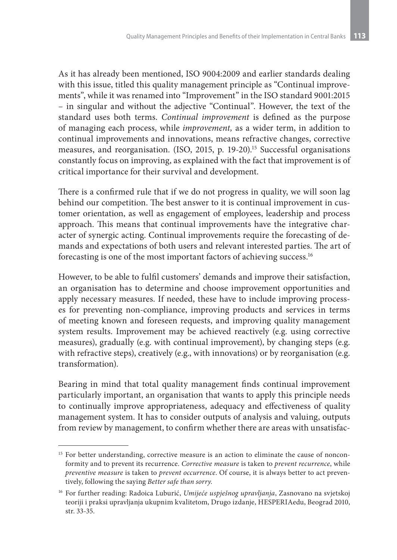As it has already been mentioned, ISO 9004:2009 and earlier standards dealing with this issue, titled this quality management principle as "Continual improvements", while it was renamed into "Improvement" in the ISO standard 9001:2015 – in singular and without the adjective "Continual". However, the text of the standard uses both terms. *Continual improvement* is defined as the purpose of managing each process, while *improvement,* as a wider term, in addition to continual improvements and innovations, means refractive changes, corrective measures, and reorganisation. (ISO, 2015, p. 19-20).15 Successful organisations constantly focus on improving, as explained with the fact that improvement is of critical importance for their survival and development.

There is a confirmed rule that if we do not progress in quality, we will soon lag behind our competition. The best answer to it is continual improvement in customer orientation, as well as engagement of employees, leadership and process approach. This means that continual improvements have the integrative character of synergic acting. Continual improvements require the forecasting of demands and expectations of both users and relevant interested parties. The art of forecasting is one of the most important factors of achieving success.16

However, to be able to fulfil customers' demands and improve their satisfaction, an organisation has to determine and choose improvement opportunities and apply necessary measures. If needed, these have to include improving processes for preventing non-compliance, improving products and services in terms of meeting known and foreseen requests, and improving quality management system results. Improvement may be achieved reactively (e.g. using corrective measures), gradually (e.g. with continual improvement), by changing steps (e.g. with refractive steps), creatively (e.g., with innovations) or by reorganisation (e.g. transformation).

Bearing in mind that total quality management finds continual improvement particularly important, an organisation that wants to apply this principle needs to continually improve appropriateness, adequacy and effectiveness of quality management system. It has to consider outputs of analysis and valuing, outputs from review by management, to confirm whether there are areas with unsatisfac-

<sup>&</sup>lt;sup>15</sup> For better understanding, corrective measure is an action to eliminate the cause of nonconformity and to prevent its recurrence. *Corrective measure* is taken to *prevent recurrence*, while *preventive measure* is taken to *prevent occurrence*. Of course, it is always better to act preventively, following the saying *Better safe than sorry.*

<sup>16</sup> For further reading: Radoica Luburić, *Umijeće uspješnog upravljanja*, Zasnovano na svjetskoj teoriji i praksi upravljanja ukupnim kvalitetom, Drugo izdanje, HESPERIAedu, Beograd 2010, str. 33-35.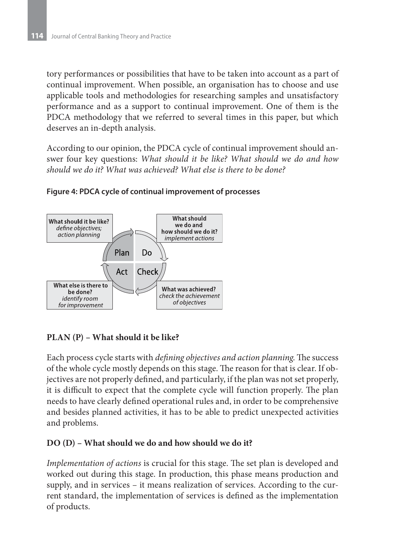tory performances or possibilities that have to be taken into account as a part of continual improvement. When possible, an organisation has to choose and use applicable tools and methodologies for researching samples and unsatisfactory performance and as a support to continual improvement. One of them is the PDCA methodology that we referred to several times in this paper, but which deserves an in-depth analysis.

According to our opinion, the PDCA cycle of continual improvement should answer four key questions: *What should it be like? What should we do and how should we do it? What was achieved? What else is there to be done?* 



#### **Figure 4: PDCA cycle of continual improvement of processes**

### **PLAN (P) – What should it be like?**

Each process cycle starts with *defining objectives and action planning*. The success of the whole cycle mostly depends on this stage. The reason for that is clear. If objectives are not properly defined, and particularly, if the plan was not set properly, it is difficult to expect that the complete cycle will function properly. The plan needs to have clearly defined operational rules and, in order to be comprehensive and besides planned activities, it has to be able to predict unexpected activities and problems.

#### **DO (D) – What should we do and how should we do it?**

*Implementation of actions* is crucial for this stage. The set plan is developed and worked out during this stage. In production, this phase means production and supply, and in services – it means realization of services. According to the current standard, the implementation of services is defined as the implementation of products.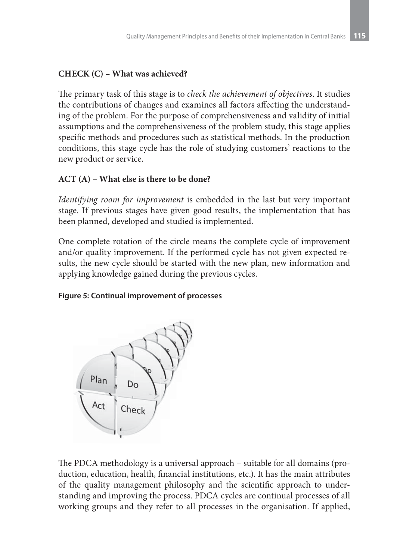### **CHECK (C) – What was achieved?**

The primary task of this stage is to *check the achievement of objectives*. It studies the contributions of changes and examines all factors affecting the understanding of the problem. For the purpose of comprehensiveness and validity of initial assumptions and the comprehensiveness of the problem study, this stage applies specific methods and procedures such as statistical methods. In the production conditions, this stage cycle has the role of studying customers' reactions to the new product or service.

#### **ACT (A) – What else is there to be done?**

*Identifying room for improvement* is embedded in the last but very important stage. If previous stages have given good results, the implementation that has been planned, developed and studied is implemented.

One complete rotation of the circle means the complete cycle of improvement and/or quality improvement. If the performed cycle has not given expected results, the new cycle should be started with the new plan, new information and applying knowledge gained during the previous cycles.

#### **Figure 5: Continual improvement of processes**



The PDCA methodology is a universal approach – suitable for all domains (production, education, health, financial institutions, etc.). It has the main attributes of the quality management philosophy and the scientific approach to understanding and improving the process. PDCA cycles are continual processes of all working groups and they refer to all processes in the organisation. If applied,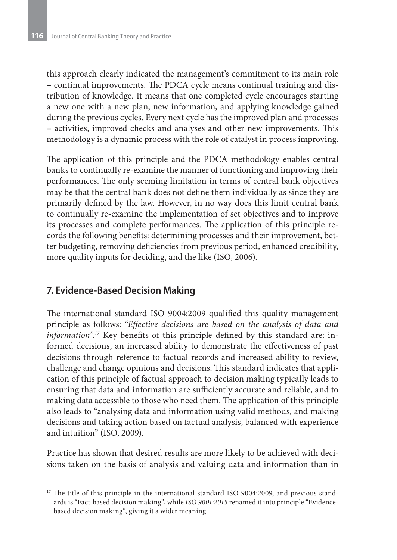this approach clearly indicated the management's commitment to its main role – continual improvements. The PDCA cycle means continual training and distribution of knowledge. It means that one completed cycle encourages starting a new one with a new plan, new information, and applying knowledge gained during the previous cycles. Every next cycle has the improved plan and processes – activities, improved checks and analyses and other new improvements. This methodology is a dynamic process with the role of catalyst in process improving.

The application of this principle and the PDCA methodology enables central banks to continually re-examine the manner of functioning and improving their performances. The only seeming limitation in terms of central bank objectives may be that the central bank does not define them individually as since they are primarily defined by the law. However, in no way does this limit central bank to continually re-examine the implementation of set objectives and to improve its processes and complete performances. The application of this principle records the following benefits: determining processes and their improvement, better budgeting, removing deficiencies from previous period, enhanced credibility, more quality inputs for deciding, and the like (ISO, 2006).

## **7. Evidence-Based Decision Making**

The international standard ISO 9004:2009 qualified this quality management principle as follows: "*Effective decisions are based on the analysis of data and information".17* Key benefits of this principle defined by this standard are: informed decisions, an increased ability to demonstrate the effectiveness of past decisions through reference to factual records and increased ability to review, challenge and change opinions and decisions. This standard indicates that application of this principle of factual approach to decision making typically leads to ensuring that data and information are sufficiently accurate and reliable, and to making data accessible to those who need them. The application of this principle also leads to "analysing data and information using valid methods, and making decisions and taking action based on factual analysis, balanced with experience and intuition" (ISO, 2009).

Practice has shown that desired results are more likely to be achieved with decisions taken on the basis of analysis and valuing data and information than in

 $17$  The title of this principle in the international standard ISO 9004:2009, and previous standards is "Fact-based decision making", while *ISO 9001:2015* renamed it into principle "Evidencebased decision making", giving it a wider meaning.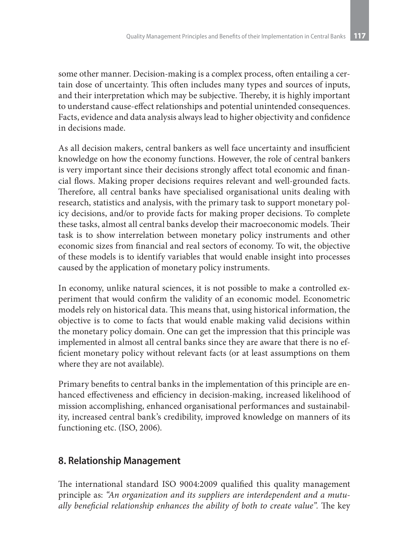some other manner. Decision-making is a complex process, often entailing a certain dose of uncertainty. This often includes many types and sources of inputs, and their interpretation which may be subjective. Thereby, it is highly important to understand cause-effect relationships and potential unintended consequences. Facts, evidence and data analysis always lead to higher objectivity and confidence in decisions made.

As all decision makers, central bankers as well face uncertainty and insufficient knowledge on how the economy functions. However, the role of central bankers is very important since their decisions strongly affect total economic and financial flows. Making proper decisions requires relevant and well-grounded facts. Therefore, all central banks have specialised organisational units dealing with research, statistics and analysis, with the primary task to support monetary policy decisions, and/or to provide facts for making proper decisions. To complete these tasks, almost all central banks develop their macroeconomic models. Their task is to show interrelation between monetary policy instruments and other economic sizes from financial and real sectors of economy. To wit, the objective of these models is to identify variables that would enable insight into processes caused by the application of monetary policy instruments.

In economy, unlike natural sciences, it is not possible to make a controlled experiment that would confirm the validity of an economic model. Econometric models rely on historical data. This means that, using historical information, the objective is to come to facts that would enable making valid decisions within the monetary policy domain. One can get the impression that this principle was implemented in almost all central banks since they are aware that there is no efficient monetary policy without relevant facts (or at least assumptions on them where they are not available).

Primary benefits to central banks in the implementation of this principle are enhanced effectiveness and efficiency in decision-making, increased likelihood of mission accomplishing, enhanced organisational performances and sustainability, increased central bank's credibility, improved knowledge on manners of its functioning etc. (ISO, 2006).

## **8. Relationship Management**

The international standard ISO 9004:2009 qualified this quality management principle as: *"An organization and its suppliers are interdependent and a mutually beneficial relationship enhances the ability of both to create value".* The key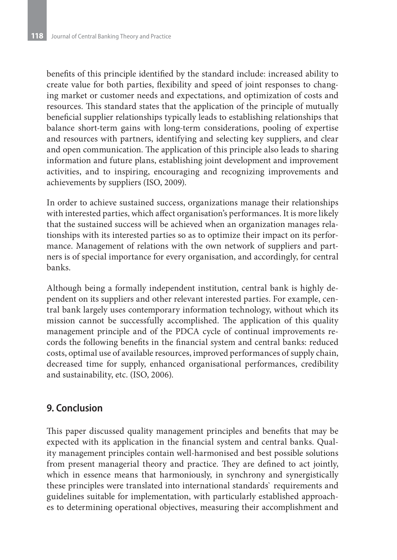benefits of this principle identified by the standard include: increased ability to create value for both parties, flexibility and speed of joint responses to changing market or customer needs and expectations, and optimization of costs and resources. This standard states that the application of the principle of mutually beneficial supplier relationships typically leads to establishing relationships that balance short-term gains with long-term considerations, pooling of expertise and resources with partners, identifying and selecting key suppliers, and clear and open communication. The application of this principle also leads to sharing information and future plans, establishing joint development and improvement activities, and to inspiring, encouraging and recognizing improvements and achievements by suppliers (ISO, 2009).

In order to achieve sustained success, organizations manage their relationships with interested parties, which affect organisation's performances. It is more likely that the sustained success will be achieved when an organization manages relationships with its interested parties so as to optimize their impact on its performance. Management of relations with the own network of suppliers and partners is of special importance for every organisation, and accordingly, for central banks.

Although being a formally independent institution, central bank is highly dependent on its suppliers and other relevant interested parties. For example, central bank largely uses contemporary information technology, without which its mission cannot be successfully accomplished. The application of this quality management principle and of the PDCA cycle of continual improvements records the following benefits in the financial system and central banks: reduced costs, optimal use of available resources, improved performances of supply chain, decreased time for supply, enhanced organisational performances, credibility and sustainability, etc. (ISO, 2006).

## **9. Conclusion**

This paper discussed quality management principles and benefits that may be expected with its application in the financial system and central banks. Quality management principles contain well-harmonised and best possible solutions from present managerial theory and practice. They are defined to act jointly, which in essence means that harmoniously, in synchrony and synergistically these principles were translated into international standards` requirements and guidelines suitable for implementation, with particularly established approaches to determining operational objectives, measuring their accomplishment and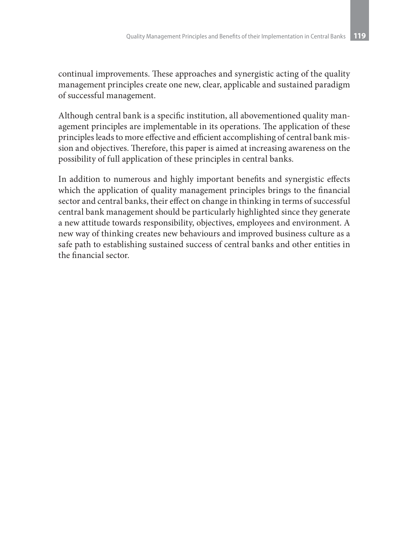continual improvements. These approaches and synergistic acting of the quality management principles create one new, clear, applicable and sustained paradigm of successful management.

Although central bank is a specific institution, all abovementioned quality management principles are implementable in its operations. The application of these principles leads to more effective and efficient accomplishing of central bank mission and objectives. Therefore, this paper is aimed at increasing awareness on the possibility of full application of these principles in central banks.

In addition to numerous and highly important benefits and synergistic effects which the application of quality management principles brings to the financial sector and central banks, their effect on change in thinking in terms of successful central bank management should be particularly highlighted since they generate a new attitude towards responsibility, objectives, employees and environment. A new way of thinking creates new behaviours and improved business culture as a safe path to establishing sustained success of central banks and other entities in the financial sector.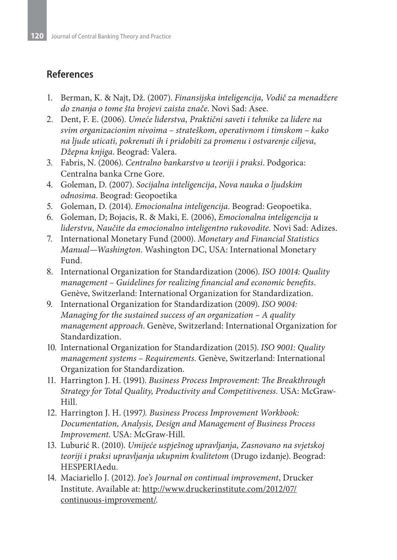## **References**

- 1. Berman, K. & Najt, Dž. (2007). *Finansijska inteligencija, Vodič za menadžere do znanja o tome šta brojevi zaista znače*. Novi Sad: Asee.
- 2. Dent, F. E. (2006). *Umeće liderstva, Praktični saveti i tehnike za lidere na svim organizacionim nivoima – strateškom, operativnom i timskom – kako na ljude uticati, pokrenuti ih i pridobiti za promenu i ostvarenje ciljeva, Džepna knjiga*. Beograd: Valera.
- 3. Fabris, N. (2006). *Centralno bankarstvo u teoriji i praksi*. Podgorica: Centralna banka Crne Gore.
- 4. Goleman, D. (2007). *Socijalna inteligencija*, *Nova nauka o ljudskim odnosima*. Beograd: Geopoetika
- 5. Goleman, D. (2014). *Emocionalna inteligencija*. Beograd: Geopoetika.
- 6. Goleman, D; Bojacis, R. & Maki, E. (2006), *Emocionalna inteligencija u liderstvu, Naučite da emocionalno inteligentno rukovodite.* Novi Sad: Adizes.
- 7. International Monetary Fund (2000). *Monetary and Financial Statistics Manual—Washington.* Washington DC, USA: International Monetary Fund.
- 8. International Organization for Standardization (2006). *ISO 10014: Quality management – Guidelines for realizing financial and economic benefits*. Genève, Switzerland: International Organization for Standardization.
- 9. International Organization for Standardization (2009). *ISO 9004: Managing for the sustained success of an organization – A quality management approach*. Genève, Switzerland: International Organization for Standardization.
- 10. International Organization for Standardization (2015). *ISO 9001: Quality management systems – Requirements.* Genève, Switzerland: International Organization for Standardization.
- 11. Harrington J. H. (1991). *Business Process Improvement: The Breakthrough Strategy for Total Quality, Productivity and Competitiveness.* USA: McGraw-Hill.
- 12. Harrington J. H. (1997). Business Process Improvement Workbook: *Documentation, Analysis, Design and Management of Business Process Improvement*. USA: McGraw-Hill.
- 13. Luburić R. (2010). *Umijeće uspješnog upravljanja, Zasnovano na svjetskoj teoriji i praksi upravljanja ukupnim kvalitetom* (Drugo izdanje). Beograd: HESPERIAedu.
- 14. Maciariello J. (2012). *Joe's Journal on continual improvement*, Drucker Institute. Available at: http://www.druckerinstitute.com/2012/07/ continuous-improvement/.